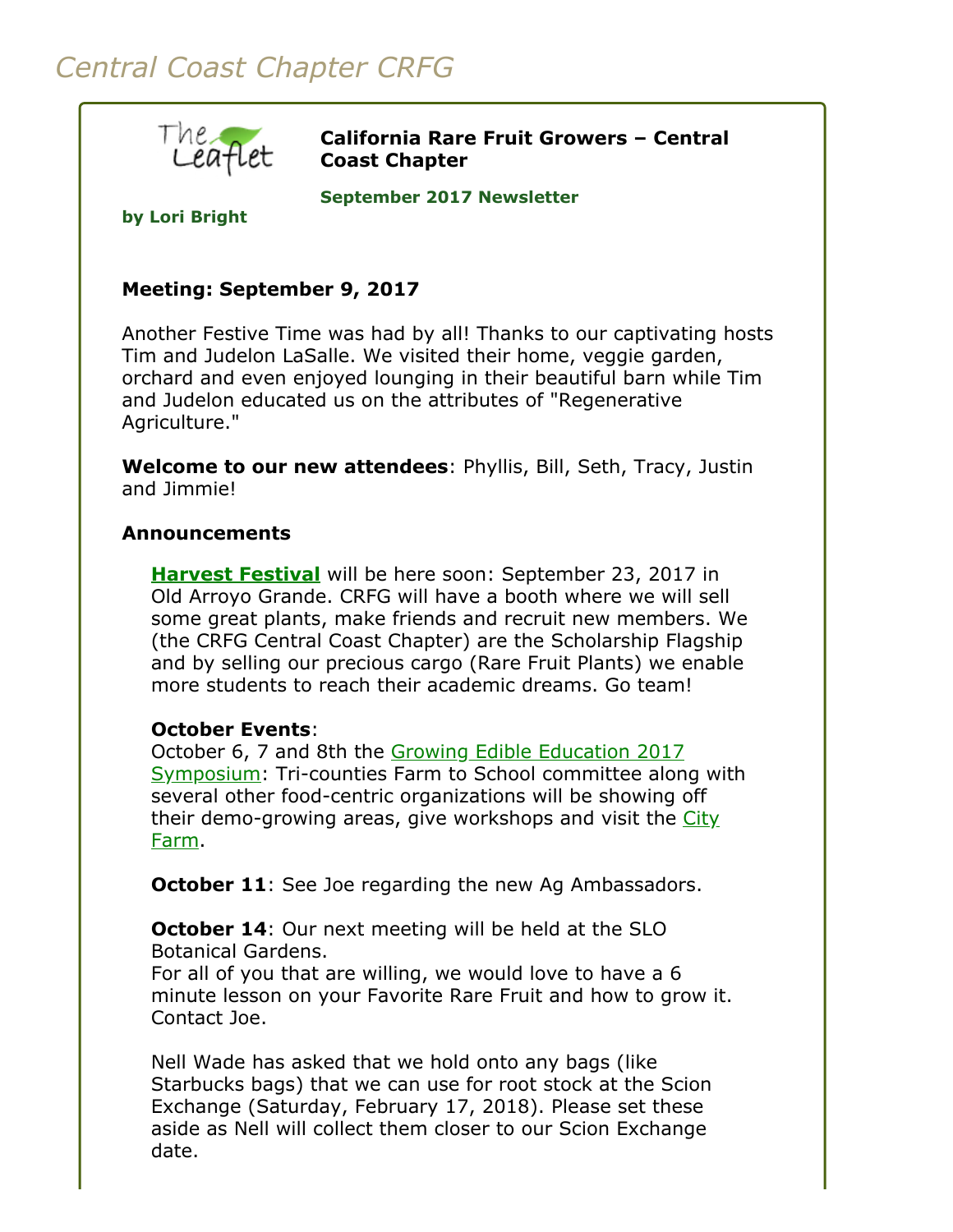# *Central Coast Chapter CRFG*



**California Rare Fruit Growers – Central Coast Chapter**

**September 2017 Newsletter** 

**by Lori Bright**

#### **Meeting: September 9, 2017**

Another Festive Time was had by all! Thanks to our captivating hosts Tim and Judelon LaSalle. We visited their home, veggie garden, orchard and even enjoyed lounging in their beautiful barn while Tim and Judelon educated us on the attributes of "Regenerative Agriculture."

**Welcome to our new attendees**: Phyllis, Bill, Seth, Tracy, Justin and Jimmie!

#### **Announcements**

**[Harvest Festival](http://agharvestfestival.com/)** will be here soon: September 23, 2017 in Old Arroyo Grande. CRFG will have a booth where we will sell some great plants, make friends and recruit new members. We (the CRFG Central Coast Chapter) are the Scholarship Flagship and by selling our precious cargo (Rare Fruit Plants) we enable more students to reach their academic dreams. Go team!

#### **October Events**:

October 6, 7 and 8th the Growing Edible Education 2017 [Symposium: Tri-counties Farm to School committee alon](http://www.cafarmtoschool.org/event/growing-edible-education-2017-symposium/)g with several other food-centric organizations will be showing off [their demo-growing areas, give workshops and visit the City](http://centralcoastgrown.org/city-farm/) Farm.

**October 11:** See Joe regarding the new Ag Ambassadors.

**October 14:** Our next meeting will be held at the SLO Botanical Gardens.

For all of you that are willing, we would love to have a 6 minute lesson on your Favorite Rare Fruit and how to grow it. Contact Joe.

Nell Wade has asked that we hold onto any bags (like Starbucks bags) that we can use for root stock at the Scion Exchange (Saturday, February 17, 2018). Please set these aside as Nell will collect them closer to our Scion Exchange date.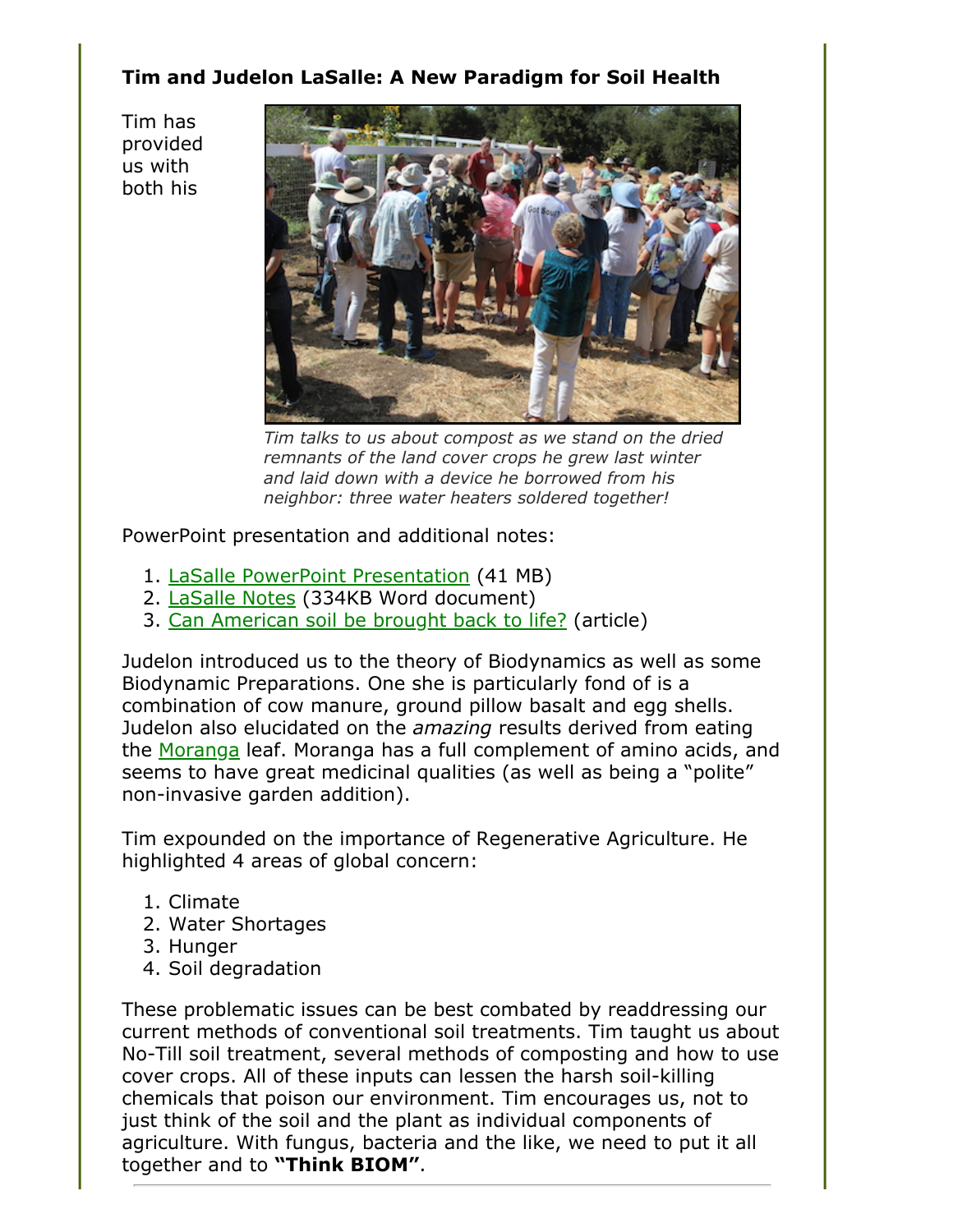### **Tim and Judelon LaSalle: A New Paradigm for Soil Health**

Tim has provided us with both his



*Tim talks to us about compost as we stand on the dried remnants of the land cover crops he grew last winter and laid down with a device he borrowed from his neighbor: three water heaters soldered together!*

PowerPoint presentation and additional notes:

- 1. [LaSalle PowerPoint Presentation](file:///Users/daramanker/Documents/CRFG/Website/Newsletters/2017/Sep/LaSallesPresentationFromSept2017Mtg.pptx) (41 MB)
- 2. [LaSalle Notes](file:///Users/daramanker/Documents/CRFG/Website/Newsletters/2017/Sep/TimLaSallesNotesFromSept2017Mtg.docx) (334KB Word document)
- 3. [Can American soil be brought back to life?](http://www.politico.com/agenda/story/2017/09/13/soil-health-agriculture-trend-usda-000513) (article)

Judelon introduced us to the theory of Biodynamics as well as some Biodynamic Preparations. One she is particularly fond of is a combination of cow manure, ground pillow basalt and egg shells. Judelon also elucidated on the *amazing* results derived from eating the [Moranga](https://en.wikipedia.org/wiki/Moringa_oleifera) leaf. Moranga has a full complement of amino acids, and seems to have great medicinal qualities (as well as being a "polite" non-invasive garden addition).

Tim expounded on the importance of Regenerative Agriculture. He highlighted 4 areas of global concern:

- 1. Climate
- 2. Water Shortages
- 3. Hunger
- 4. Soil degradation

These problematic issues can be best combated by readdressing our current methods of conventional soil treatments. Tim taught us about No-Till soil treatment, several methods of composting and how to use cover crops. All of these inputs can lessen the harsh soil-killing chemicals that poison our environment. Tim encourages us, not to just think of the soil and the plant as individual components of agriculture. With fungus, bacteria and the like, we need to put it all together and to **"Think BIOM"**.